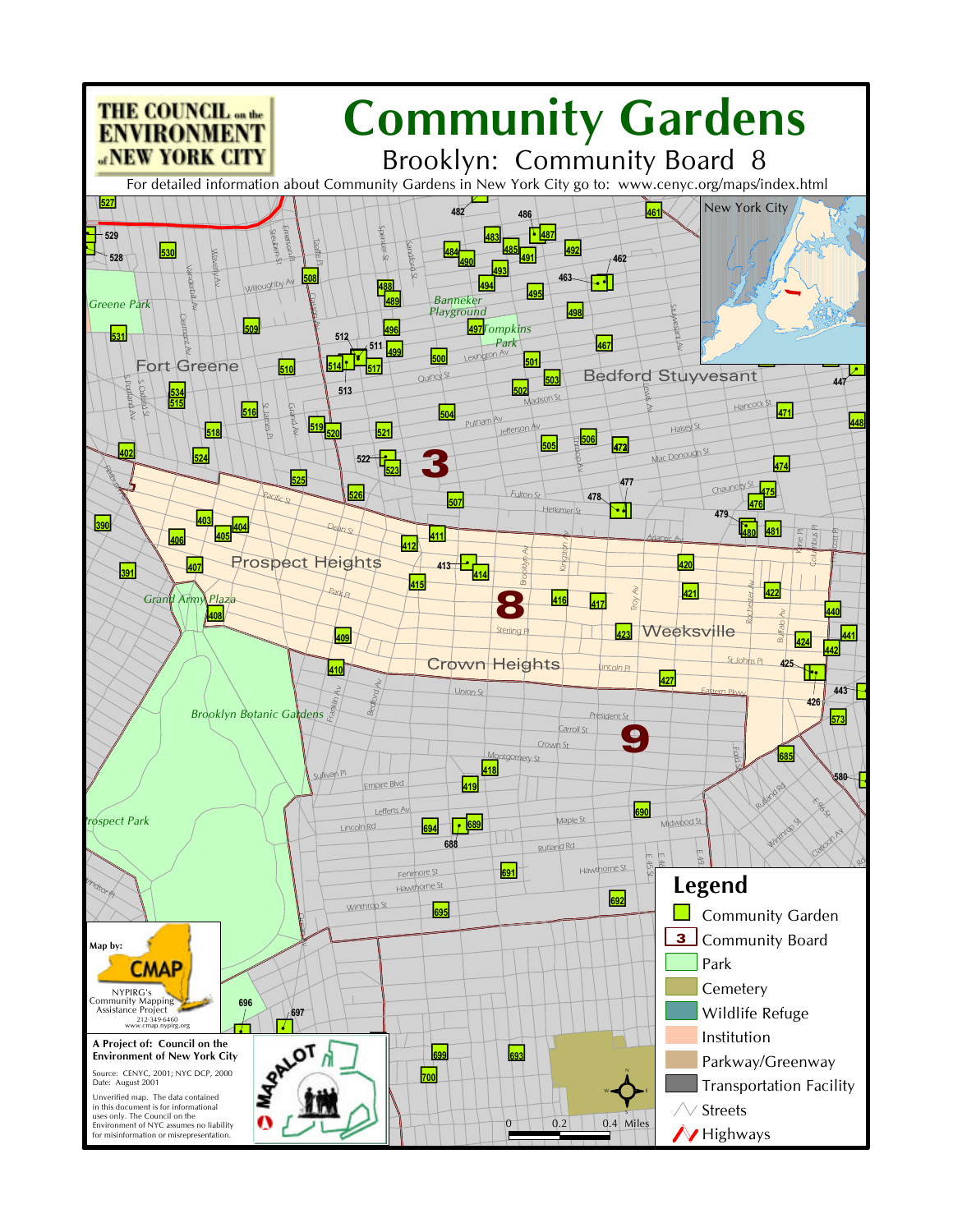